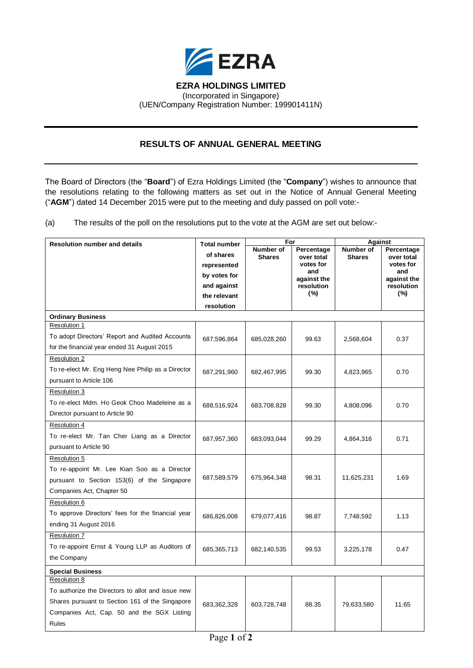

#### **EZRA HOLDINGS LIMITED** (Incorporated in Singapore)

(UEN/Company Registration Number: 199901411N)

# **RESULTS OF ANNUAL GENERAL MEETING**

The Board of Directors (the "**Board**") of Ezra Holdings Limited (the "**Company**") wishes to announce that the resolutions relating to the following matters as set out in the Notice of Annual General Meeting ("**AGM**") dated 14 December 2015 were put to the meeting and duly passed on poll vote:-

(a) The results of the poll on the resolutions put to the vote at the AGM are set out below:-

| <b>Resolution number and details</b>              | <b>Total number</b>                      | For                        |                                              | <b>Against</b>             |                                              |
|---------------------------------------------------|------------------------------------------|----------------------------|----------------------------------------------|----------------------------|----------------------------------------------|
|                                                   | of shares<br>represented<br>by votes for | Number of<br><b>Shares</b> | Percentage<br>over total<br>votes for<br>and | Number of<br><b>Shares</b> | Percentage<br>over total<br>votes for<br>and |
|                                                   | and against                              |                            | against the<br>resolution                    |                            | against the<br>resolution                    |
|                                                   | the relevant                             |                            | (%)                                          |                            | (%)                                          |
|                                                   | resolution                               |                            |                                              |                            |                                              |
| <b>Ordinary Business</b>                          |                                          |                            |                                              |                            |                                              |
| <b>Resolution 1</b>                               |                                          |                            |                                              |                            |                                              |
| To adopt Directors' Report and Audited Accounts   | 687,596,864                              | 685,028,260                | 99.63                                        | 2,568,604                  | 0.37                                         |
| for the financial year ended 31 August 2015       |                                          |                            |                                              |                            |                                              |
| Resolution 2                                      |                                          |                            |                                              |                            |                                              |
| To re-elect Mr. Eng Heng Nee Philip as a Director | 687,291,960                              | 682,467,995                | 99.30                                        | 4,823,965                  | 0.70                                         |
| pursuant to Article 106                           |                                          |                            |                                              |                            |                                              |
| Resolution 3                                      |                                          |                            |                                              |                            |                                              |
| To re-elect Mdm. Ho Geok Choo Madeleine as a      | 688,516,924                              | 683,708,828                | 99.30                                        | 4,808,096                  | 0.70                                         |
| Director pursuant to Article 90                   |                                          |                            |                                              |                            |                                              |
| Resolution 4                                      |                                          |                            |                                              |                            |                                              |
| To re-elect Mr. Tan Cher Liang as a Director      | 687,957,360                              | 683,093,044                | 99.29                                        | 4,864,316                  | 0.71                                         |
| pursuant to Article 90                            |                                          |                            |                                              |                            |                                              |
| Resolution 5                                      |                                          |                            |                                              |                            |                                              |
| To re-appoint Mr. Lee Kian Soo as a Director      |                                          |                            |                                              |                            |                                              |
| pursuant to Section 153(6) of the Singapore       | 687,589,579                              | 675,964,348                | 98.31                                        | 11,625,231                 | 1.69                                         |
| Companies Act, Chapter 50                         |                                          |                            |                                              |                            |                                              |
| <b>Resolution 6</b>                               |                                          |                            |                                              |                            |                                              |
| To approve Directors' fees for the financial year | 686,826,008                              | 679,077,416                | 98.87                                        | 7,748,592                  | 1.13                                         |
| ending 31 August 2016                             |                                          |                            |                                              |                            |                                              |
| <b>Resolution 7</b>                               |                                          |                            |                                              |                            |                                              |
| To re-appoint Ernst & Young LLP as Auditors of    |                                          |                            |                                              |                            |                                              |
| the Company                                       | 685,365,713                              | 682,140,535                | 99.53                                        | 3,225,178                  | 0.47                                         |
|                                                   |                                          |                            |                                              |                            |                                              |
| <b>Special Business</b><br>Resolution 8           |                                          |                            |                                              |                            |                                              |
| To authorize the Directors to allot and issue new |                                          |                            |                                              |                            |                                              |
| Shares pursuant to Section 161 of the Singapore   |                                          |                            |                                              |                            |                                              |
| Companies Act, Cap. 50 and the SGX Listing        | 683,362,328                              | 603,728,748                | 88.35                                        | 79,633,580                 | 11.65                                        |
| Rules                                             |                                          |                            |                                              |                            |                                              |
|                                                   |                                          |                            |                                              |                            |                                              |